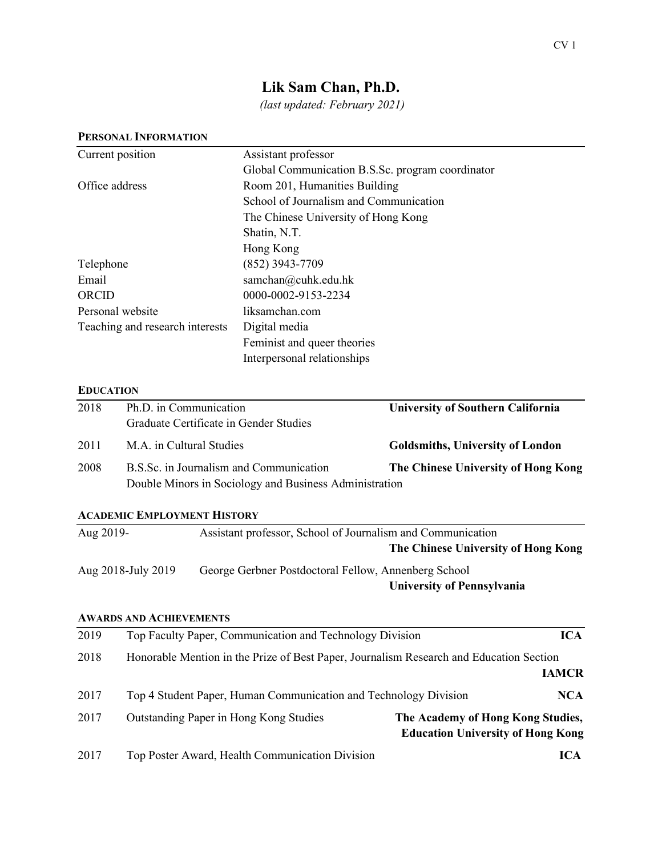# **Lik Sam Chan, Ph.D.**

*(last updated: February 2021)*

|                  | PERSONAL INFORMATION                                                                                                    |                                                                                |                                          |  |
|------------------|-------------------------------------------------------------------------------------------------------------------------|--------------------------------------------------------------------------------|------------------------------------------|--|
| Current position |                                                                                                                         | Assistant professor                                                            |                                          |  |
|                  |                                                                                                                         | Global Communication B.S.Sc. program coordinator                               |                                          |  |
| Office address   |                                                                                                                         | Room 201, Humanities Building                                                  |                                          |  |
|                  |                                                                                                                         | School of Journalism and Communication                                         |                                          |  |
|                  |                                                                                                                         | The Chinese University of Hong Kong                                            |                                          |  |
|                  |                                                                                                                         | Shatin, N.T.                                                                   |                                          |  |
|                  |                                                                                                                         | Hong Kong                                                                      |                                          |  |
| Telephone        |                                                                                                                         | (852) 3943-7709                                                                |                                          |  |
| Email<br>ORCID   |                                                                                                                         | samchan@cuhk.edu.hk<br>0000-0002-9153-2234                                     |                                          |  |
|                  |                                                                                                                         |                                                                                |                                          |  |
|                  | Teaching and research interests                                                                                         | Digital media                                                                  |                                          |  |
|                  |                                                                                                                         | Feminist and queer theories                                                    |                                          |  |
|                  |                                                                                                                         | Interpersonal relationships                                                    |                                          |  |
| <b>EDUCATION</b> |                                                                                                                         |                                                                                |                                          |  |
| 2018             | Ph.D. in Communication                                                                                                  |                                                                                | <b>University of Southern California</b> |  |
|                  | Graduate Certificate in Gender Studies                                                                                  |                                                                                |                                          |  |
| 2011             | M.A. in Cultural Studies                                                                                                |                                                                                | <b>Goldsmiths, University of London</b>  |  |
| 2008             | B.S.Sc. in Journalism and Communication                                                                                 |                                                                                | The Chinese University of Hong Kong      |  |
|                  |                                                                                                                         | Double Minors in Sociology and Business Administration                         |                                          |  |
|                  | <b>ACADEMIC EMPLOYMENT HISTORY</b>                                                                                      |                                                                                |                                          |  |
| Aug 2019-        |                                                                                                                         | Assistant professor, School of Journalism and Communication                    |                                          |  |
|                  |                                                                                                                         |                                                                                | The Chinese University of Hong Kong      |  |
|                  | Aug 2018-July 2019                                                                                                      | George Gerbner Postdoctoral Fellow, Annenberg School                           |                                          |  |
|                  |                                                                                                                         |                                                                                | <b>University of Pennsylvania</b>        |  |
|                  |                                                                                                                         |                                                                                |                                          |  |
|                  | <b>AWARDS AND ACHIEVEMENTS</b>                                                                                          |                                                                                |                                          |  |
| 2019             |                                                                                                                         | Top Faculty Paper, Communication and Technology Division                       | <b>ICA</b>                               |  |
| 2018             | Honorable Mention in the Prize of Best Paper, Journalism Research and Education Section<br><b>IAMCR</b>                 |                                                                                |                                          |  |
| 2017             |                                                                                                                         | Top 4 Student Paper, Human Communication and Technology Division<br><b>NCA</b> |                                          |  |
| 2017             | Outstanding Paper in Hong Kong Studies<br>The Academy of Hong Kong Studies,<br><b>Education University of Hong Kong</b> |                                                                                |                                          |  |
| 2017             |                                                                                                                         | Top Poster Award, Health Communication Division                                | <b>ICA</b>                               |  |

#### **PERSONAL INFORMATION**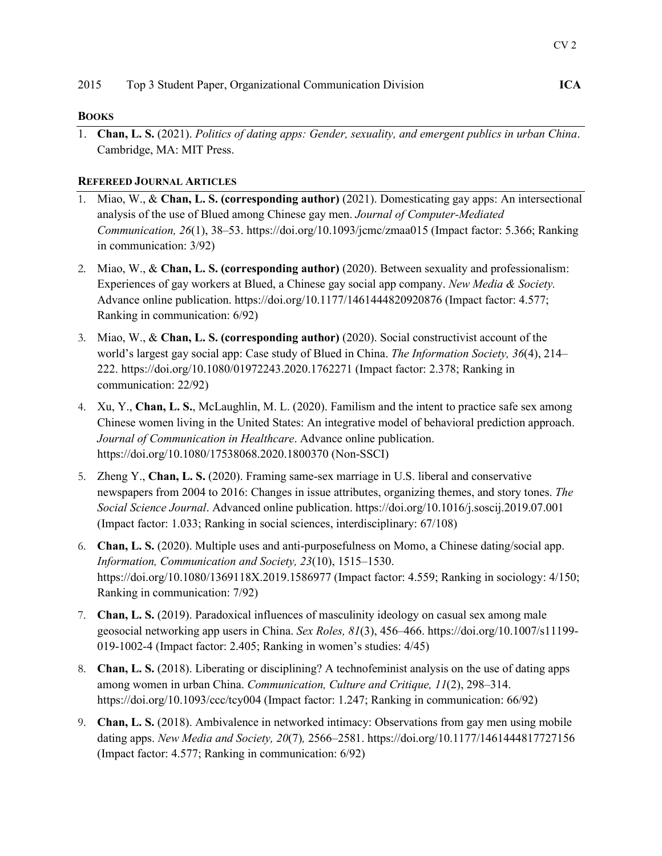#### **BOOKS**

1. **Chan, L. S.** (2021). *Politics of dating apps: Gender, sexuality, and emergent publics in urban China*. Cambridge, MA: MIT Press.

## **REFEREED JOURNAL ARTICLES**

- 1. Miao, W., & **Chan, L. S. (corresponding author)** (2021). Domesticating gay apps: An intersectional analysis of the use of Blued among Chinese gay men. *Journal of Computer-Mediated Communication, 26*(1), 38–53. https://doi.org/10.1093/jcmc/zmaa015 (Impact factor: 5.366; Ranking in communication: 3/92)
- 2. Miao, W., & **Chan, L. S. (corresponding author)** (2020). Between sexuality and professionalism: Experiences of gay workers at Blued, a Chinese gay social app company. *New Media & Society.* Advance online publication. https://doi.org/10.1177/1461444820920876 (Impact factor: 4.577; Ranking in communication: 6/92)
- 3. Miao, W., & **Chan, L. S. (corresponding author)** (2020). Social constructivist account of the world's largest gay social app: Case study of Blued in China. *The Information Society, 36*(4), 214– 222. https://doi.org/10.1080/01972243.2020.1762271 (Impact factor: 2.378; Ranking in communication: 22/92)
- 4. Xu, Y., **Chan, L. S.**, McLaughlin, M. L. (2020). Familism and the intent to practice safe sex among Chinese women living in the United States: An integrative model of behavioral prediction approach. *Journal of Communication in Healthcare*. Advance online publication. https://doi.org/10.1080/17538068.2020.1800370 (Non-SSCI)
- 5. Zheng Y., **Chan, L. S.** (2020). Framing same-sex marriage in U.S. liberal and conservative newspapers from 2004 to 2016: Changes in issue attributes, organizing themes, and story tones. *The Social Science Journal*. Advanced online publication. https://doi.org/10.1016/j.soscij.2019.07.001 (Impact factor: 1.033; Ranking in social sciences, interdisciplinary: 67/108)
- 6. **Chan, L. S.** (2020). Multiple uses and anti-purposefulness on Momo, a Chinese dating/social app. *Information, Communication and Society, 23*(10), 1515–1530. https://doi.org/10.1080/1369118X.2019.1586977 (Impact factor: 4.559; Ranking in sociology: 4/150; Ranking in communication: 7/92)
- 7. **Chan, L. S.** (2019). Paradoxical influences of masculinity ideology on casual sex among male geosocial networking app users in China. *Sex Roles, 81*(3), 456–466. https://doi.org/10.1007/s11199- 019-1002-4 (Impact factor: 2.405; Ranking in women's studies: 4/45)
- 8. **Chan, L. S.** (2018). Liberating or disciplining? A technofeminist analysis on the use of dating apps among women in urban China. *Communication, Culture and Critique, 11*(2), 298–314. https://doi.org/10.1093/ccc/tcy004 (Impact factor: 1.247; Ranking in communication: 66/92)
- 9. **Chan, L. S.** (2018). Ambivalence in networked intimacy: Observations from gay men using mobile dating apps. *New Media and Society, 20*(7)*,* 2566–2581. https://doi.org/10.1177/1461444817727156 (Impact factor: 4.577; Ranking in communication: 6/92)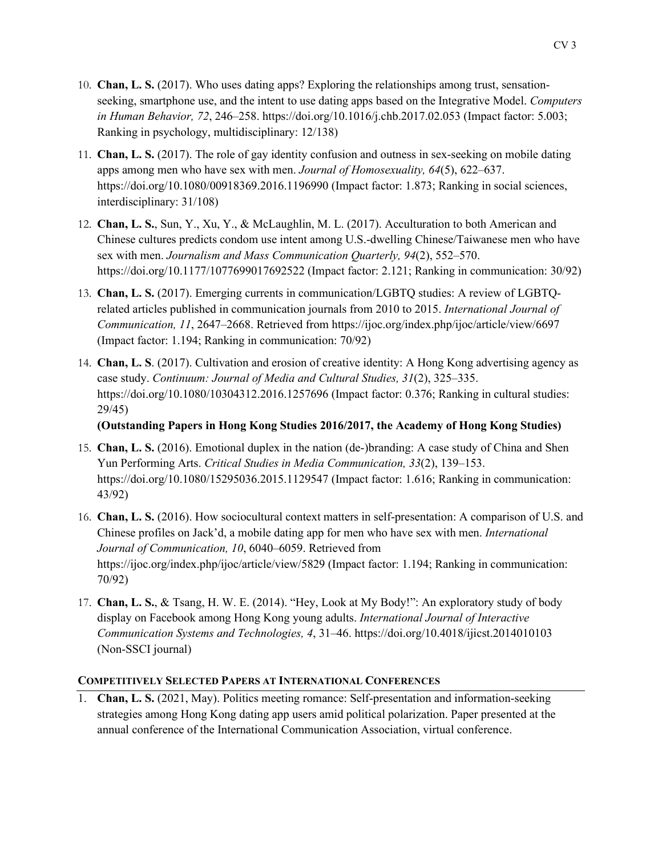- 10. **Chan, L. S.** (2017). Who uses dating apps? Exploring the relationships among trust, sensationseeking, smartphone use, and the intent to use dating apps based on the Integrative Model. *Computers in Human Behavior, 72*, 246–258. https://doi.org/10.1016/j.chb.2017.02.053 (Impact factor: 5.003; Ranking in psychology, multidisciplinary: 12/138)
- 11. **Chan, L. S.** (2017). The role of gay identity confusion and outness in sex-seeking on mobile dating apps among men who have sex with men. *Journal of Homosexuality, 64*(5), 622–637. https://doi.org/10.1080/00918369.2016.1196990 (Impact factor: 1.873; Ranking in social sciences, interdisciplinary: 31/108)
- 12. **Chan, L. S.**, Sun, Y., Xu, Y., & McLaughlin, M. L. (2017). Acculturation to both American and Chinese cultures predicts condom use intent among U.S.-dwelling Chinese/Taiwanese men who have sex with men. *Journalism and Mass Communication Quarterly, 94*(2), 552–570. https://doi.org/10.1177/1077699017692522 (Impact factor: 2.121; Ranking in communication: 30/92)
- 13. **Chan, L. S.** (2017). Emerging currents in communication/LGBTQ studies: A review of LGBTQrelated articles published in communication journals from 2010 to 2015. *International Journal of Communication, 11*, 2647–2668. Retrieved from https://ijoc.org/index.php/ijoc/article/view/6697 (Impact factor: 1.194; Ranking in communication: 70/92)
- 14. **Chan, L. S**. (2017). Cultivation and erosion of creative identity: A Hong Kong advertising agency as case study. *Continuum: Journal of Media and Cultural Studies, 31*(2), 325–335. https://doi.org/10.1080/10304312.2016.1257696 (Impact factor: 0.376; Ranking in cultural studies: 29/45)

**(Outstanding Papers in Hong Kong Studies 2016/2017, the Academy of Hong Kong Studies)** 

- 15. **Chan, L. S.** (2016). Emotional duplex in the nation (de-)branding: A case study of China and Shen Yun Performing Arts. *Critical Studies in Media Communication, 33*(2), 139–153. https://doi.org/10.1080/15295036.2015.1129547 (Impact factor: 1.616; Ranking in communication: 43/92)
- 16. **Chan, L. S.** (2016). How sociocultural context matters in self-presentation: A comparison of U.S. and Chinese profiles on Jack'd, a mobile dating app for men who have sex with men. *International Journal of Communication, 10*, 6040–6059. Retrieved from https://ijoc.org/index.php/ijoc/article/view/5829 (Impact factor: 1.194; Ranking in communication: 70/92)
- 17. **Chan, L. S.**, & Tsang, H. W. E. (2014). "Hey, Look at My Body!": An exploratory study of body display on Facebook among Hong Kong young adults. *International Journal of Interactive Communication Systems and Technologies, 4*, 31–46. https://doi.org/10.4018/ijicst.2014010103 (Non-SSCI journal)

## **COMPETITIVELY SELECTED PAPERS AT INTERNATIONAL CONFERENCES**

1. **Chan, L. S.** (2021, May). Politics meeting romance: Self-presentation and information-seeking strategies among Hong Kong dating app users amid political polarization. Paper presented at the annual conference of the International Communication Association, virtual conference.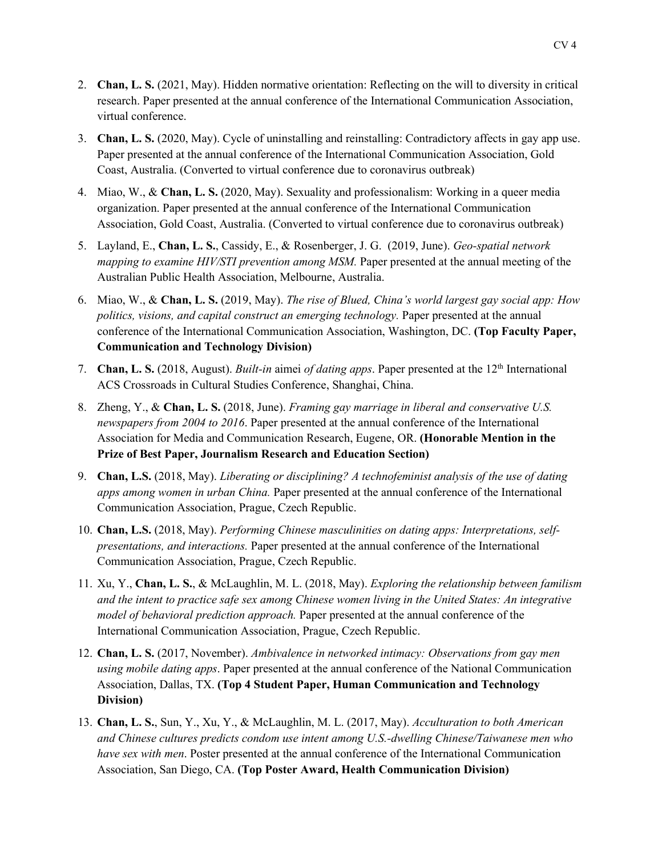- 2. **Chan, L. S.** (2021, May). Hidden normative orientation: Reflecting on the will to diversity in critical research. Paper presented at the annual conference of the International Communication Association, virtual conference.
- 3. **Chan, L. S.** (2020, May). Cycle of uninstalling and reinstalling: Contradictory affects in gay app use. Paper presented at the annual conference of the International Communication Association, Gold Coast, Australia. (Converted to virtual conference due to coronavirus outbreak)
- 4. Miao, W., & **Chan, L. S.** (2020, May). Sexuality and professionalism: Working in a queer media organization. Paper presented at the annual conference of the International Communication Association, Gold Coast, Australia. (Converted to virtual conference due to coronavirus outbreak)
- 5. Layland, E., **Chan, L. S.**, Cassidy, E., & Rosenberger, J. G. (2019, June). *Geo-spatial network mapping to examine HIV/STI prevention among MSM.* Paper presented at the annual meeting of the Australian Public Health Association, Melbourne, Australia.
- 6. Miao, W., & **Chan, L. S.** (2019, May). *The rise of Blued, China's world largest gay social app: How politics, visions, and capital construct an emerging technology.* Paper presented at the annual conference of the International Communication Association, Washington, DC. **(Top Faculty Paper, Communication and Technology Division)**
- 7. **Chan, L. S.** (2018, August). *Built-in* aimei *of dating apps*. Paper presented at the 12th International ACS Crossroads in Cultural Studies Conference, Shanghai, China.
- 8. Zheng, Y., & **Chan, L. S.** (2018, June). *Framing gay marriage in liberal and conservative U.S. newspapers from 2004 to 2016*. Paper presented at the annual conference of the International Association for Media and Communication Research, Eugene, OR. **(Honorable Mention in the Prize of Best Paper, Journalism Research and Education Section)**
- 9. **Chan, L.S.** (2018, May). *Liberating or disciplining? A technofeminist analysis of the use of dating apps among women in urban China.* Paper presented at the annual conference of the International Communication Association, Prague, Czech Republic.
- 10. **Chan, L.S.** (2018, May). *Performing Chinese masculinities on dating apps: Interpretations, selfpresentations, and interactions.* Paper presented at the annual conference of the International Communication Association, Prague, Czech Republic.
- 11. Xu, Y., **Chan, L. S.**, & McLaughlin, M. L. (2018, May). *Exploring the relationship between familism and the intent to practice safe sex among Chinese women living in the United States: An integrative model of behavioral prediction approach.* Paper presented at the annual conference of the International Communication Association, Prague, Czech Republic.
- 12. **Chan, L. S.** (2017, November). *Ambivalence in networked intimacy: Observations from gay men using mobile dating apps*. Paper presented at the annual conference of the National Communication Association, Dallas, TX. **(Top 4 Student Paper, Human Communication and Technology Division)**
- 13. **Chan, L. S.**, Sun, Y., Xu, Y., & McLaughlin, M. L. (2017, May). *Acculturation to both American and Chinese cultures predicts condom use intent among U.S.-dwelling Chinese/Taiwanese men who have sex with men*. Poster presented at the annual conference of the International Communication Association, San Diego, CA. **(Top Poster Award, Health Communication Division)**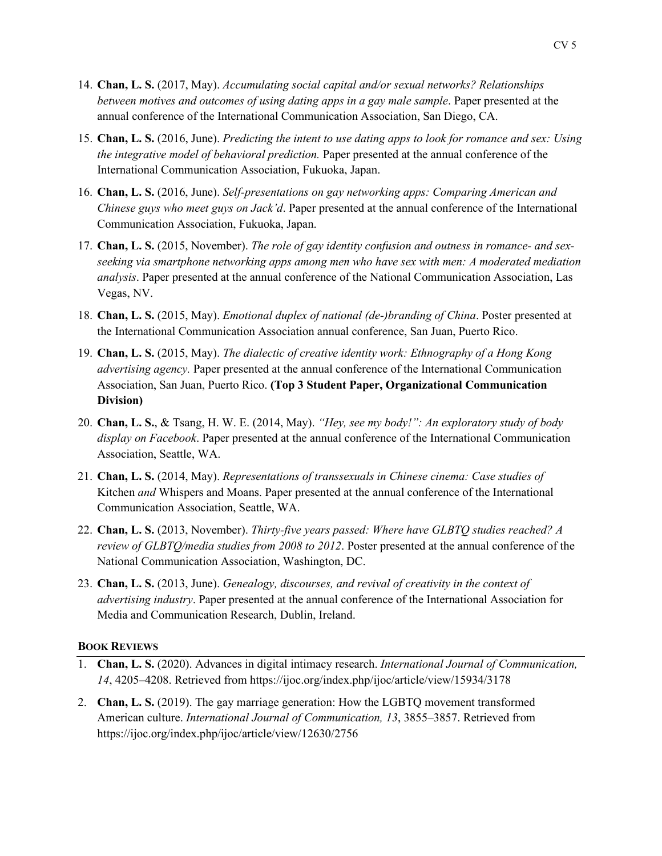- 14. **Chan, L. S.** (2017, May). *Accumulating social capital and/or sexual networks? Relationships between motives and outcomes of using dating apps in a gay male sample*. Paper presented at the annual conference of the International Communication Association, San Diego, CA.
- 15. **Chan, L. S.** (2016, June). *Predicting the intent to use dating apps to look for romance and sex: Using the integrative model of behavioral prediction.* Paper presented at the annual conference of the International Communication Association, Fukuoka, Japan.
- 16. **Chan, L. S.** (2016, June). *Self-presentations on gay networking apps: Comparing American and Chinese guys who meet guys on Jack'd*. Paper presented at the annual conference of the International Communication Association, Fukuoka, Japan.
- 17. **Chan, L. S.** (2015, November). *The role of gay identity confusion and outness in romance- and sexseeking via smartphone networking apps among men who have sex with men: A moderated mediation analysis*. Paper presented at the annual conference of the National Communication Association, Las Vegas, NV.
- 18. **Chan, L. S.** (2015, May). *Emotional duplex of national (de-)branding of China*. Poster presented at the International Communication Association annual conference, San Juan, Puerto Rico.
- 19. **Chan, L. S.** (2015, May). *The dialectic of creative identity work: Ethnography of a Hong Kong advertising agency.* Paper presented at the annual conference of the International Communication Association, San Juan, Puerto Rico. **(Top 3 Student Paper, Organizational Communication Division)**
- 20. **Chan, L. S.**, & Tsang, H. W. E. (2014, May). *"Hey, see my body!": An exploratory study of body display on Facebook*. Paper presented at the annual conference of the International Communication Association, Seattle, WA.
- 21. **Chan, L. S.** (2014, May). *Representations of transsexuals in Chinese cinema: Case studies of*  Kitchen *and* Whispers and Moans. Paper presented at the annual conference of the International Communication Association, Seattle, WA.
- 22. **Chan, L. S.** (2013, November). *Thirty-five years passed: Where have GLBTQ studies reached? A review of GLBTQ/media studies from 2008 to 2012*. Poster presented at the annual conference of the National Communication Association, Washington, DC.
- 23. **Chan, L. S.** (2013, June). *Genealogy, discourses, and revival of creativity in the context of advertising industry*. Paper presented at the annual conference of the International Association for Media and Communication Research, Dublin, Ireland.

#### **BOOK REVIEWS**

- 1. **Chan, L. S.** (2020). Advances in digital intimacy research. *International Journal of Communication, 14*, 4205–4208. Retrieved from https://ijoc.org/index.php/ijoc/article/view/15934/3178
- 2. **Chan, L. S.** (2019). The gay marriage generation: How the LGBTQ movement transformed American culture. *International Journal of Communication, 13*, 3855–3857. Retrieved from https://ijoc.org/index.php/ijoc/article/view/12630/2756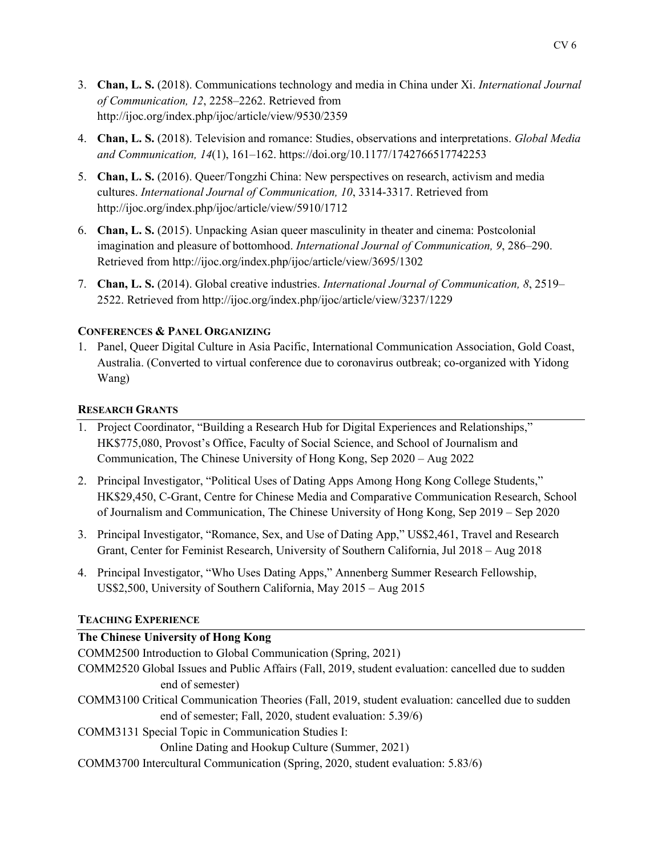- 3. **Chan, L. S.** (2018). Communications technology and media in China under Xi. *International Journal of Communication, 12*, 2258–2262. Retrieved from http://ijoc.org/index.php/ijoc/article/view/9530/2359
- 4. **Chan, L. S.** (2018). Television and romance: Studies, observations and interpretations. *Global Media and Communication, 14*(1), 161–162. https://doi.org/10.1177/1742766517742253
- 5. **Chan, L. S.** (2016). Queer/Tongzhi China: New perspectives on research, activism and media cultures. *International Journal of Communication, 10*, 3314-3317. Retrieved from http://ijoc.org/index.php/ijoc/article/view/5910/1712
- 6. **Chan, L. S.** (2015). Unpacking Asian queer masculinity in theater and cinema: Postcolonial imagination and pleasure of bottomhood. *International Journal of Communication, 9*, 286–290. Retrieved from http://ijoc.org/index.php/ijoc/article/view/3695/1302
- 7. **Chan, L. S.** (2014). Global creative industries. *International Journal of Communication, 8*, 2519– 2522. Retrieved from http://ijoc.org/index.php/ijoc/article/view/3237/1229

#### **CONFERENCES & PANEL ORGANIZING**

1. Panel, Queer Digital Culture in Asia Pacific, International Communication Association, Gold Coast, Australia. (Converted to virtual conference due to coronavirus outbreak; co-organized with Yidong Wang)

#### **RESEARCH GRANTS**

- 1. Project Coordinator, "Building a Research Hub for Digital Experiences and Relationships," HK\$775,080, Provost's Office, Faculty of Social Science, and School of Journalism and Communication, The Chinese University of Hong Kong, Sep 2020 – Aug 2022
- 2. Principal Investigator, "Political Uses of Dating Apps Among Hong Kong College Students," HK\$29,450, C-Grant, Centre for Chinese Media and Comparative Communication Research, School of Journalism and Communication, The Chinese University of Hong Kong, Sep 2019 – Sep 2020
- 3. Principal Investigator, "Romance, Sex, and Use of Dating App," US\$2,461, Travel and Research Grant, Center for Feminist Research, University of Southern California, Jul 2018 – Aug 2018
- 4. Principal Investigator, "Who Uses Dating Apps," Annenberg Summer Research Fellowship, US\$2,500, University of Southern California, May 2015 – Aug 2015

#### **TEACHING EXPERIENCE**

## **The Chinese University of Hong Kong**

COMM2500 Introduction to Global Communication (Spring, 2021)

- COMM2520 Global Issues and Public Affairs (Fall, 2019, student evaluation: cancelled due to sudden end of semester)
- COMM3100 Critical Communication Theories (Fall, 2019, student evaluation: cancelled due to sudden end of semester; Fall, 2020, student evaluation: 5.39/6)
- COMM3131 Special Topic in Communication Studies I:

Online Dating and Hookup Culture (Summer, 2021)

COMM3700 Intercultural Communication (Spring, 2020, student evaluation: 5.83/6)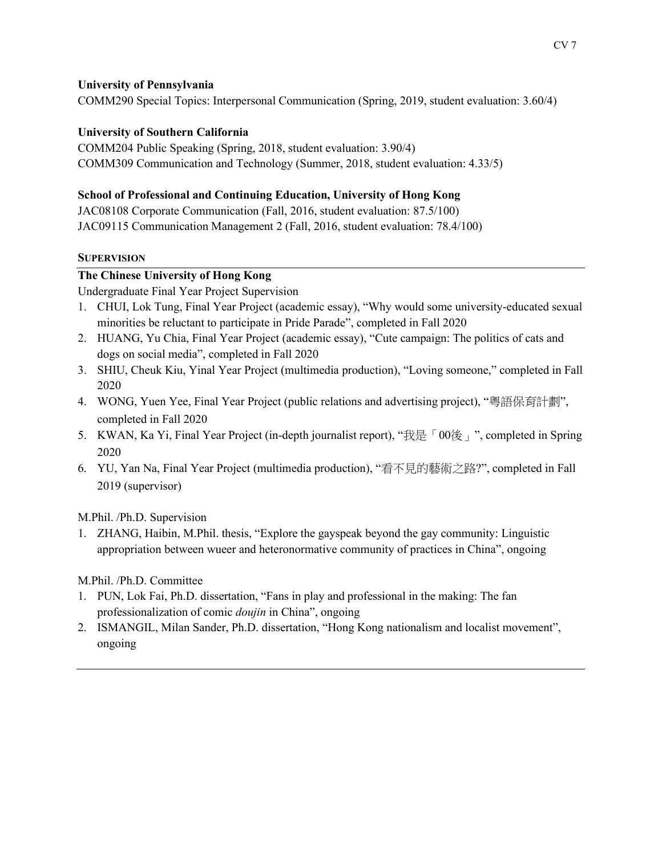#### **University of Pennsylvania**

COMM290 Special Topics: Interpersonal Communication (Spring, 2019, student evaluation: 3.60/4)

#### **University of Southern California**

COMM204 Public Speaking (Spring, 2018, student evaluation: 3.90/4) COMM309 Communication and Technology (Summer, 2018, student evaluation: 4.33/5)

## **School of Professional and Continuing Education, University of Hong Kong**

JAC08108 Corporate Communication (Fall, 2016, student evaluation: 87.5/100) JAC09115 Communication Management 2 (Fall, 2016, student evaluation: 78.4/100)

#### **SUPERVISION**

#### **The Chinese University of Hong Kong**

Undergraduate Final Year Project Supervision

- 1. CHUI, Lok Tung, Final Year Project (academic essay), "Why would some university-educated sexual minorities be reluctant to participate in Pride Parade", completed in Fall 2020
- 2. HUANG, Yu Chia, Final Year Project (academic essay), "Cute campaign: The politics of cats and dogs on social media", completed in Fall 2020
- 3. SHIU, Cheuk Kiu, Yinal Year Project (multimedia production), "Loving someone," completed in Fall 2020
- 4. WONG, Yuen Yee, Final Year Project (public relations and advertising project), "粵語保育計劃", completed in Fall 2020
- 5. KWAN, Ka Yi, Final Year Project (in-depth journalist report), "我是「00後」", completed in Spring 2020
- 6. YU, Yan Na, Final Year Project (multimedia production), "看不見的藝術之路?", completed in Fall 2019 (supervisor)

M.Phil. /Ph.D. Supervision

1. ZHANG, Haibin, M.Phil. thesis, "Explore the gayspeak beyond the gay community: Linguistic appropriation between wueer and heteronormative community of practices in China", ongoing

## M.Phil. /Ph.D. Committee

- 1. PUN, Lok Fai, Ph.D. dissertation, "Fans in play and professional in the making: The fan professionalization of comic *doujin* in China", ongoing
- 2. ISMANGIL, Milan Sander, Ph.D. dissertation, "Hong Kong nationalism and localist movement", ongoing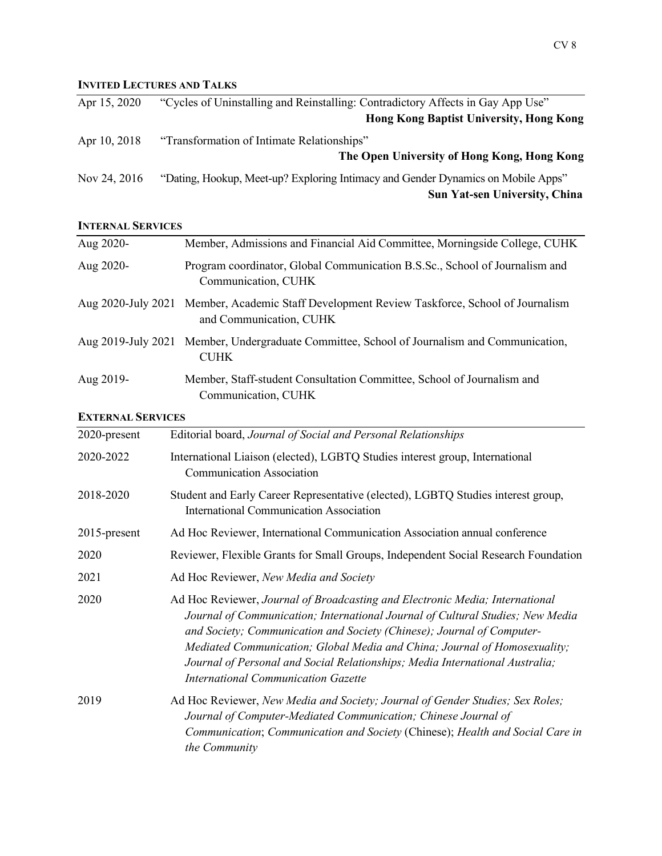# **INVITED LECTURES AND TALKS**

| Apr 15, 2020 | "Cycles of Uninstalling and Reinstalling: Contradictory Affects in Gay App Use"  |
|--------------|----------------------------------------------------------------------------------|
|              | <b>Hong Kong Baptist University, Hong Kong</b>                                   |
| Apr 10, 2018 | "Transformation of Intimate Relationships"                                       |
|              | The Open University of Hong Kong, Hong Kong                                      |
| Nov 24, 2016 | "Dating, Hookup, Meet-up? Exploring Intimacy and Gender Dynamics on Mobile Apps" |
|              | <b>Sun Yat-sen University, China</b>                                             |

#### **INTERNAL SERVICES**

| Aug 2020-                | Member, Admissions and Financial Aid Committee, Morningside College, CUHK                                                                                                                                                                                                                                                                                                                                                                           |  |  |
|--------------------------|-----------------------------------------------------------------------------------------------------------------------------------------------------------------------------------------------------------------------------------------------------------------------------------------------------------------------------------------------------------------------------------------------------------------------------------------------------|--|--|
| Aug 2020-                | Program coordinator, Global Communication B.S.Sc., School of Journalism and<br>Communication, CUHK                                                                                                                                                                                                                                                                                                                                                  |  |  |
|                          | Aug 2020-July 2021 Member, Academic Staff Development Review Taskforce, School of Journalism<br>and Communication, CUHK                                                                                                                                                                                                                                                                                                                             |  |  |
| Aug 2019-July 2021       | Member, Undergraduate Committee, School of Journalism and Communication,<br><b>CUHK</b>                                                                                                                                                                                                                                                                                                                                                             |  |  |
| Aug 2019-                | Member, Staff-student Consultation Committee, School of Journalism and<br>Communication, CUHK                                                                                                                                                                                                                                                                                                                                                       |  |  |
| <b>EXTERNAL SERVICES</b> |                                                                                                                                                                                                                                                                                                                                                                                                                                                     |  |  |
| 2020-present             | Editorial board, Journal of Social and Personal Relationships                                                                                                                                                                                                                                                                                                                                                                                       |  |  |
| 2020-2022                | International Liaison (elected), LGBTQ Studies interest group, International<br><b>Communication Association</b>                                                                                                                                                                                                                                                                                                                                    |  |  |
| 2018-2020                | Student and Early Career Representative (elected), LGBTQ Studies interest group,<br><b>International Communication Association</b>                                                                                                                                                                                                                                                                                                                  |  |  |
| 2015-present             | Ad Hoc Reviewer, International Communication Association annual conference                                                                                                                                                                                                                                                                                                                                                                          |  |  |
| 2020                     | Reviewer, Flexible Grants for Small Groups, Independent Social Research Foundation                                                                                                                                                                                                                                                                                                                                                                  |  |  |
| 2021                     | Ad Hoc Reviewer, New Media and Society                                                                                                                                                                                                                                                                                                                                                                                                              |  |  |
| 2020                     | Ad Hoc Reviewer, Journal of Broadcasting and Electronic Media; International<br>Journal of Communication; International Journal of Cultural Studies; New Media<br>and Society; Communication and Society (Chinese); Journal of Computer-<br>Mediated Communication; Global Media and China; Journal of Homosexuality;<br>Journal of Personal and Social Relationships; Media International Australia;<br><b>International Communication Gazette</b> |  |  |
| 2019                     | Ad Hoc Reviewer, New Media and Society; Journal of Gender Studies; Sex Roles;<br>Journal of Computer-Mediated Communication; Chinese Journal of<br>Communication; Communication and Society (Chinese); Health and Social Care in<br>the Community                                                                                                                                                                                                   |  |  |